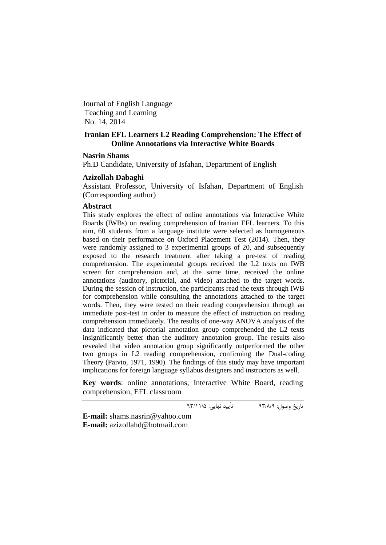Journal of English Language Teaching and Learning No. 14, 2014

# **Iranian EFL Learners L2 Reading Comprehension: The Effect of Online Annotations via Interactive White Boards**

## **Nasrin Shams**

Ph.D Candidate, University of Isfahan, Department of English

### **Azizollah Dabaghi**

Assistant Professor, University of Isfahan, Department of English (Corresponding author)

### **Abstract**

This study explores the effect of online annotations via Interactive White Boards (IWBs) on reading comprehension of Iranian EFL learners. To this aim, 60 students from a language institute were selected as homogeneous based on their performance on Oxford Placement Test (2014). Then, they were randomly assigned to 3 experimental groups of 20, and subsequently exposed to the research treatment after taking a pre-test of reading comprehension. The experimental groups received the L2 texts on IWB screen for comprehension and, at the same time, received the online annotations (auditory, pictorial, and video) attached to the target words. During the session of instruction, the participants read the texts through IWB for comprehension while consulting the annotations attached to the target words. Then, they were tested on their reading comprehension through an immediate post-test in order to measure the effect of instruction on reading comprehension immediately. The results of one-way ANOVA analysis of the data indicated that pictorial annotation group comprehended the L2 texts insignificantly better than the auditory annotation group. The results also revealed that video annotation group significantly outperformed the other two groups in L2 reading comprehension, confirming the Dual-coding Theory (Paivio, 1971, 1990). The findings of this study may have important implications for foreign language syllabus designers and instructors as well.

**Key words**: online annotations, Interactive White Board, reading comprehension, EFL classroom

تاریخ وصول: 93/8/9 تأیید نهایی: 93/11/5

**E-mail:** shams.nasrin@yahoo.com **E-mail:** azizollahd@hotmail.com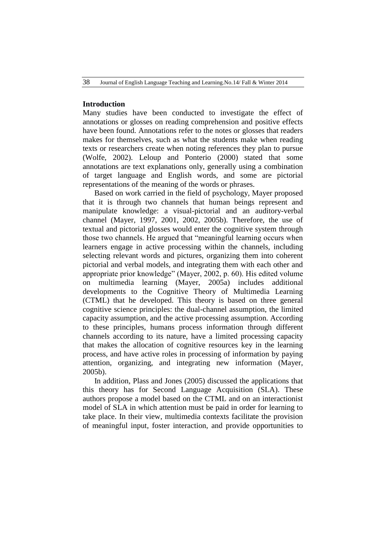# **Introduction**

Many studies have been conducted to investigate the effect of annotations or glosses on reading comprehension and positive effects have been found. Annotations refer to the notes or glosses that readers makes for themselves, such as what the students make when reading texts or researchers create when noting references they plan to pursue (Wolfe, 2002). Leloup and Ponterio (2000) stated that some annotations are text explanations only, generally using a combination of target language and English words, and some are pictorial representations of the meaning of the words or phrases.

 Based on work carried in the field of psychology, Mayer proposed that it is through two channels that human beings represent and manipulate knowledge: a visual-pictorial and an auditory-verbal channel (Mayer, 1997, 2001, 2002, 2005b). Therefore, the use of textual and pictorial glosses would enter the cognitive system through those two channels. He argued that "meaningful learning occurs when learners engage in active processing within the channels, including selecting relevant words and pictures, organizing them into coherent pictorial and verbal models, and integrating them with each other and appropriate prior knowledge" (Mayer, 2002, p. 60). His edited volume on multimedia learning (Mayer, 2005a) includes additional developments to the Cognitive Theory of Multimedia Learning (CTML) that he developed. This theory is based on three general cognitive science principles: the dual-channel assumption, the limited capacity assumption, and the active processing assumption. According to these principles, humans process information through different channels according to its nature, have a limited processing capacity that makes the allocation of cognitive resources key in the learning process, and have active roles in processing of information by paying attention, organizing, and integrating new information (Mayer, 2005b).

 In addition, Plass and Jones (2005) discussed the applications that this theory has for Second Language Acquisition (SLA). These authors propose a model based on the CTML and on an interactionist model of SLA in which attention must be paid in order for learning to take place. In their view, multimedia contexts facilitate the provision of meaningful input, foster interaction, and provide opportunities to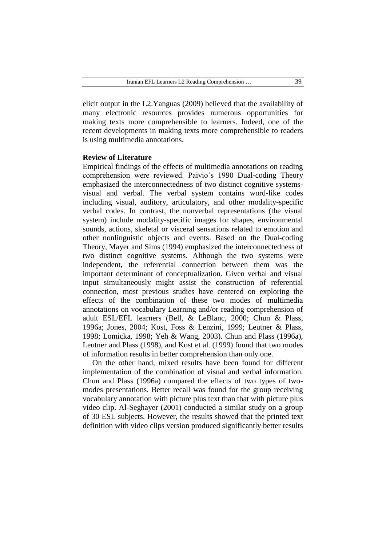elicit output in the L2.Yanguas (2009) believed that the availability of many electronic resources provides numerous opportunities for making texts more comprehensible to learners. Indeed, one of the recent developments in making texts more comprehensible to readers is using multimedia annotations.

## **Review of Literature**

Empirical findings of the effects of multimedia annotations on reading comprehension were reviewed. Paivio's 1990 Dual-coding Theory emphasized the interconnectedness of two distinct cognitive systemsvisual and verbal. The verbal system contains word-like codes including visual, auditory, articulatory, and other modality-specific verbal codes. In contrast, the nonverbal representations (the visual system) include modality-specific images for shapes, environmental sounds, actions, skeletal or visceral sensations related to emotion and other nonlinguistic objects and events. Based on the Dual-coding Theory, Mayer and Sims (1994) emphasized the interconnectedness of two distinct cognitive systems. Although the two systems were independent, the referential connection between them was the important determinant of conceptualization. Given verbal and visual input simultaneously might assist the construction of referential connection, most previous studies have centered on exploring the effects of the combination of these two modes of multimedia annotations on vocabulary Learning and/or reading comprehension of adult ESL/EFL learners (Bell, & LeBlanc, 2000; Chun & Plass, 1996a; Jones, 2004; Kost, Foss & Lenzini, 1999; Leutner & Plass, 1998; Lomicka, 1998; Yeh & Wang, 2003). Chun and Plass (1996a), Leutner and Plass (1998), and Kost et al. (1999) found that two modes of information results in better comprehension than only one.

 On the other hand, mixed results have been found for different implementation of the combination of visual and verbal information. Chun and Plass (1996a) compared the effects of two types of twomodes presentations. Better recall was found for the group receiving vocabulary annotation with picture plus text than that with picture plus video clip. Al-Seghayer (2001) conducted a similar study on a group of 30 ESL subjects. However, the results showed that the printed text definition with video clips version produced significantly better results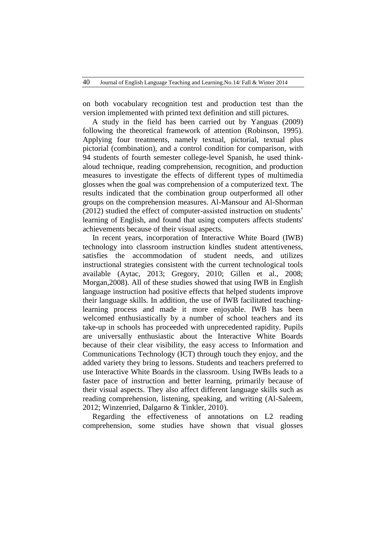on both vocabulary recognition test and production test than the version implemented with printed text definition and still pictures.

 A study in the field has been carried out by Yanguas (2009) following the theoretical framework of attention (Robinson, 1995). Applying four treatments, namely textual, pictorial, textual plus pictorial (combination), and a control condition for comparison, with 94 students of fourth semester college-level Spanish, he used thinkaloud technique, reading comprehension, recognition, and production measures to investigate the effects of different types of multimedia glosses when the goal was comprehension of a computerized text. The results indicated that the combination group outperformed all other groups on the comprehension measures. Al-Mansour and Al-Shorman (2012) studied the effect of computer-assisted instruction on students' learning of English, and found that using computers affects students' achievements because of their visual aspects.

 In recent years, incorporation of Interactive White Board (IWB) technology into classroom instruction kindles student attentiveness, satisfies the accommodation of student needs, and utilizes instructional strategies consistent with the current technological tools available (Aytac, 2013; Gregory, 2010; Gillen et al., 2008; Morgan,2008). All of these studies showed that using IWB in English language instruction had positive effects that helped students improve their language skills. In addition, the use of IWB facilitated teachinglearning process and made it more enjoyable. IWB has been welcomed enthusiastically by a number of school teachers and its take-up in schools has proceeded with unprecedented rapidity. Pupils are universally enthusiastic about the Interactive White Boards because of their clear visibility, the easy access to Information and Communications Technology (ICT) through touch they enjoy, and the added variety they bring to lessons. Students and teachers preferred to use Interactive White Boards in the classroom. Using IWBs leads to a faster pace of instruction and better learning, primarily because of their visual aspects. They also affect different language skills such as reading comprehension, listening, speaking, and writing (Al-Saleem, 2012; Winzenried, Dalgarno & Tinkler, 2010).

 Regarding the effectiveness of annotations on L2 reading comprehension, some studies have shown that visual glosses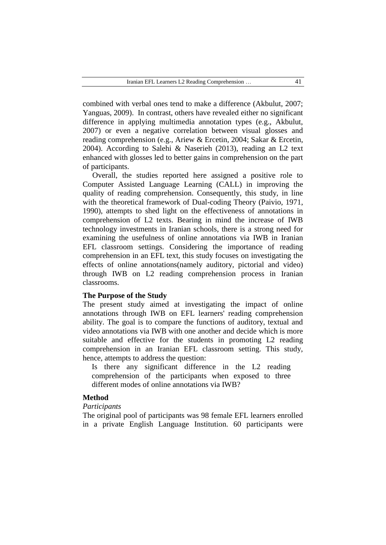combined with verbal ones tend to make a difference (Akbulut, 2007; Yanguas, 2009). In contrast, others have revealed either no significant difference in applying multimedia annotation types (e.g., Akbulut, 2007) or even a negative correlation between visual glosses and reading comprehension (e.g., Ariew & Ercetin, 2004; Sakar & Ercetin, 2004). According to Salehi & Naserieh (2013), reading an L2 text enhanced with glosses led to better gains in comprehension on the part of participants.

 Overall, the studies reported here assigned a positive role to Computer Assisted Language Learning (CALL) in improving the quality of reading comprehension. Consequently, this study, in line with the theoretical framework of Dual-coding Theory (Paivio, 1971, 1990), attempts to shed light on the effectiveness of annotations in comprehension of L2 texts. Bearing in mind the increase of IWB technology investments in Iranian schools, there is a strong need for examining the usefulness of online annotations via IWB in Iranian EFL classroom settings. Considering the importance of reading comprehension in an EFL text, this study focuses on investigating the effects of online annotations(namely auditory, pictorial and video) through IWB on L2 reading comprehension process in Iranian classrooms.

### **The Purpose of the Study**

The present study aimed at investigating the impact of online annotations through IWB on EFL learners' reading comprehension ability. The goal is to compare the functions of auditory, textual and video annotations via IWB with one another and decide which is more suitable and effective for the students in promoting L2 reading comprehension in an Iranian EFL classroom setting. This study, hence, attempts to address the question:

Is there any significant difference in the L2 reading comprehension of the participants when exposed to three different modes of online annotations via IWB?

## **Method**

## *Participants*

The original pool of participants was 98 female EFL learners enrolled in a private English Language Institution. 60 participants were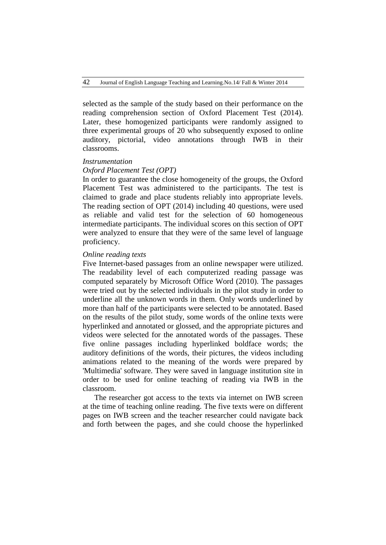selected as the sample of the study based on their performance on the reading comprehension section of Oxford Placement Test (2014). Later, these homogenized participants were randomly assigned to three experimental groups of 20 who subsequently exposed to online auditory, pictorial, video annotations through IWB in their classrooms.

#### *Instrumentation*

## *Oxford Placement Test (OPT)*

In order to guarantee the close homogeneity of the groups, the Oxford Placement Test was administered to the participants. The test is claimed to grade and place students reliably into appropriate levels. The reading section of OPT (2014) including 40 questions, were used as reliable and valid test for the selection of 60 homogeneous intermediate participants. The individual scores on this section of OPT were analyzed to ensure that they were of the same level of language proficiency.

## *Online reading texts*

Five Internet-based passages from an online newspaper were utilized. The readability level of each computerized reading passage was computed separately by Microsoft Office Word (2010). The passages were tried out by the selected individuals in the pilot study in order to underline all the unknown words in them. Only words underlined by more than half of the participants were selected to be annotated. Based on the results of the pilot study, some words of the online texts were hyperlinked and annotated or glossed, and the appropriate pictures and videos were selected for the annotated words of the passages. These five online passages including hyperlinked boldface words; the auditory definitions of the words, their pictures, the videos including animations related to the meaning of the words were prepared by 'Multimedia' software. They were saved in language institution site in order to be used for online teaching of reading via IWB in the classroom.

 The researcher got access to the texts via internet on IWB screen at the time of teaching online reading. The five texts were on different pages on IWB screen and the teacher researcher could navigate back and forth between the pages, and she could choose the hyperlinked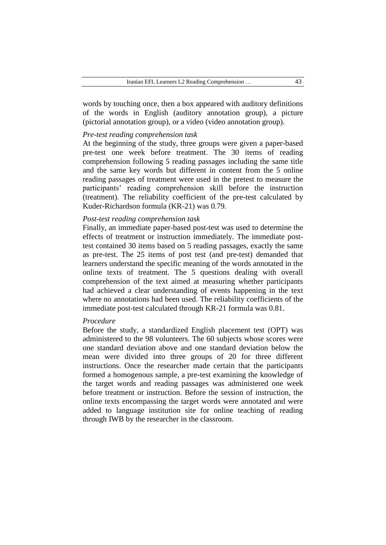words by touching once, then a box appeared with auditory definitions of the words in English (auditory annotation group), a picture (pictorial annotation group), or a video (video annotation group).

# *Pre-test reading comprehension task*

At the beginning of the study, three groups were given a paper-based pre-test one week before treatment. The 30 items of reading comprehension following 5 reading passages including the same title and the same key words but different in content from the 5 online reading passages of treatment were used in the pretest to measure the participants' reading comprehension skill before the instruction (treatment). The reliability coefficient of the pre-test calculated by Kuder-Richardson formula (KR-21) was 0.79.

## *Post-test reading comprehension task*

Finally, an immediate paper-based post-test was used to determine the effects of treatment or instruction immediately. The immediate posttest contained 30 items based on 5 reading passages, exactly the same as pre-test. The 25 items of post test (and pre-test) demanded that learners understand the specific meaning of the words annotated in the online texts of treatment. The 5 questions dealing with overall comprehension of the text aimed at measuring whether participants had achieved a clear understanding of events happening in the text where no annotations had been used. The reliability coefficients of the immediate post-test calculated through KR-21 formula was 0.81.

#### *Procedure*

Before the study, a standardized English placement test (OPT) was administered to the 98 volunteers. The 60 subjects whose scores were one standard deviation above and one standard deviation below the mean were divided into three groups of 20 for three different instructions. Once the researcher made certain that the participants formed a homogenous sample, a pre-test examining the knowledge of the target words and reading passages was administered one week before treatment or instruction. Before the session of instruction, the online texts encompassing the target words were annotated and were added to language institution site for online teaching of reading through IWB by the researcher in the classroom.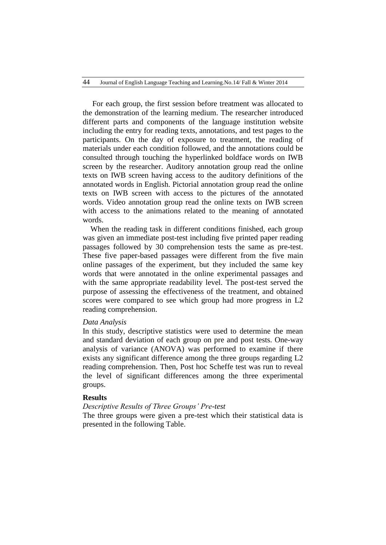For each group, the first session before treatment was allocated to the demonstration of the learning medium. The researcher introduced different parts and components of the language institution website including the entry for reading texts, annotations, and test pages to the participants. On the day of exposure to treatment, the reading of materials under each condition followed, and the annotations could be consulted through touching the hyperlinked boldface words on IWB screen by the researcher. Auditory annotation group read the online texts on IWB screen having access to the auditory definitions of the annotated words in English. Pictorial annotation group read the online texts on IWB screen with access to the pictures of the annotated words. Video annotation group read the online texts on IWB screen with access to the animations related to the meaning of annotated words.

 When the reading task in different conditions finished, each group was given an immediate post-test including five printed paper reading passages followed by 30 comprehension tests the same as pre-test. These five paper-based passages were different from the five main online passages of the experiment, but they included the same key words that were annotated in the online experimental passages and with the same appropriate readability level. The post-test served the purpose of assessing the effectiveness of the treatment, and obtained scores were compared to see which group had more progress in L2 reading comprehension.

#### *Data Analysis*

In this study, descriptive statistics were used to determine the mean and standard deviation of each group on pre and post tests. One-way analysis of variance (ANOVA) was performed to examine if there exists any significant difference among the three groups regarding L2 reading comprehension. Then, Post hoc Scheffe test was run to reveal the level of significant differences among the three experimental groups.

#### **Results**

# *Descriptive Results of Three Groups' Pre-test*

The three groups were given a pre-test which their statistical data is presented in the following Table.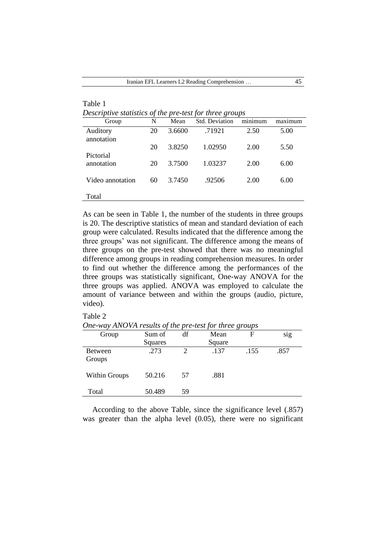| Descriptive statistics of the pre-test for three groups |    |        |                |         |             |  |
|---------------------------------------------------------|----|--------|----------------|---------|-------------|--|
| Group                                                   | N  | Mean   | Std. Deviation | minimum | $max_1$ mum |  |
| Auditory                                                | 20 | 3.6600 | .71921         | 2.50    | 5.00        |  |
| annotation                                              |    |        |                |         |             |  |
|                                                         | 20 | 3.8250 | 1.02950        | 2.00    | 5.50        |  |
| Pictorial                                               |    |        |                |         |             |  |
| annotation                                              | 20 | 3.7500 | 1.03237        | 2.00    | 6.00        |  |
|                                                         |    |        |                |         |             |  |
| Video annotation                                        | 60 | 3.7450 | .92506         | 2.00    | 6.00        |  |
|                                                         |    |        |                |         |             |  |
| Total                                                   |    |        |                |         |             |  |

As can be seen in Table 1, the number of the students in three groups is 20. The descriptive statistics of mean and standard deviation of each group were calculated. Results indicated that the difference among the three groups' was not significant. The difference among the means of three groups on the pre-test showed that there was no meaningful difference among groups in reading comprehension measures. In order to find out whether the difference among the performances of the three groups was statistically significant, One-way ANOVA for the three groups was applied. ANOVA was employed to calculate the amount of variance between and within the groups (audio, picture, video).

#### Table 2

Table 1

*One-way ANOVA results of the pre-test for three groups*

|                      | $\cdot$ |                             | $\cdot$ | $\cdot$<br>$\overline{ }$ |      |
|----------------------|---------|-----------------------------|---------|---------------------------|------|
| Group                | Sum of  | df                          | Mean    | F                         | sig  |
|                      | Squares |                             | Square  |                           |      |
| <b>Between</b>       | .273    | $\mathcal{D}_{\mathcal{L}}$ | .137    | .155                      | .857 |
| Groups               |         |                             |         |                           |      |
| <b>Within Groups</b> | 50.216  | 57                          | .881    |                           |      |
| Total                | 50.489  | 59                          |         |                           |      |

 According to the above Table, since the significance level (.857) was greater than the alpha level (0.05), there were no significant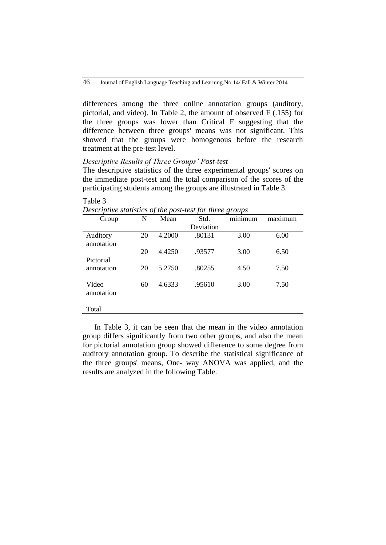differences among the three online annotation groups (auditory, pictorial, and video). In Table 2, the amount of observed F (.155) for the three groups was lower than Critical F suggesting that the difference between three groups' means was not significant. This showed that the groups were homogenous before the research treatment at the pre-test level.

## *Descriptive Results of Three Groups' Post-test*

The descriptive statistics of the three experimental groups' scores on the immediate post-test and the total comparison of the scores of the participating students among the groups are illustrated in Table 3.

| Group                  | N  | Mean   | Std.      | minimum | maximum |
|------------------------|----|--------|-----------|---------|---------|
|                        |    |        | Deviation |         |         |
| Auditory<br>annotation | 20 | 4.2000 | .80131    | 3.00    | 6.00    |
| Pictorial              | 20 | 4.4250 | .93577    | 3.00    | 6.50    |
| annotation             | 20 | 5.2750 | .80255    | 4.50    | 7.50    |
| Video<br>annotation    | 60 | 4.6333 | .95610    | 3.00    | 7.50    |
| Total                  |    |        |           |         |         |

#### Table 3

*Descriptive statistics of the post-test for three groups*

 In Table 3, it can be seen that the mean in the video annotation group differs significantly from two other groups, and also the mean for pictorial annotation group showed difference to some degree from auditory annotation group. To describe the statistical significance of the three groups' means, One- way ANOVA was applied, and the results are analyzed in the following Table.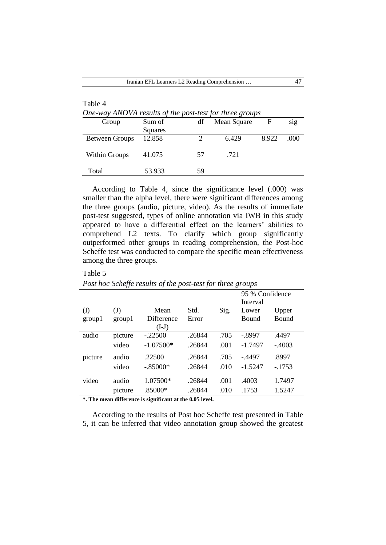| Table 4                                                 |         |    |             |       |     |  |  |
|---------------------------------------------------------|---------|----|-------------|-------|-----|--|--|
| One-way ANOVA results of the post-test for three groups |         |    |             |       |     |  |  |
| Group                                                   | Sum of  | df | Mean Square | F     | sig |  |  |
|                                                         | Squares |    |             |       |     |  |  |
| <b>Between Groups</b>                                   | 12.858  |    | 6.429       | 8.922 | 000 |  |  |
|                                                         |         |    |             |       |     |  |  |
| <b>Within Groups</b>                                    | 41.075  | 57 | .721        |       |     |  |  |
|                                                         |         |    |             |       |     |  |  |
| Total                                                   | 53.933  | 59 |             |       |     |  |  |

 According to Table 4, since the significance level (.000) was smaller than the alpha level, there were significant differences among the three groups (audio, picture, video). As the results of immediate post-test suggested, types of online annotation via IWB in this study appeared to have a differential effect on the learners' abilities to comprehend L2 texts. To clarify which group significantly outperformed other groups in reading comprehension, the Post-hoc Scheffe test was conducted to compare the specific mean effectiveness among the three groups.

Table 5

| I osi noc beneffe results of the post test for three groups |                        |                                      |               |      |                             |                |  |
|-------------------------------------------------------------|------------------------|--------------------------------------|---------------|------|-----------------------------|----------------|--|
|                                                             |                        |                                      |               |      | 95 % Confidence<br>Interval |                |  |
| (I)<br>group1                                               | $\mathrm{J}$<br>group1 | Mean<br><b>Difference</b><br>$(I-J)$ | Std.<br>Error | Sig. | Lower<br><b>Bound</b>       | Upper<br>Bound |  |
| audio                                                       | picture                | $-.22500$                            | .26844        | .705 | $-.8997$                    | .4497          |  |
|                                                             | video                  | $-1.07500*$                          | .26844        | .001 | $-1.7497$                   | $-.4003$       |  |
| picture                                                     | audio                  | .22500                               | .26844        | .705 | $-4497$                     | .8997          |  |
|                                                             | video                  | $-.85000*$                           | .26844        | .010 | $-1.5247$                   | $-1753$        |  |
| video                                                       | audio                  | 1.07500*                             | .26844        | .001 | .4003                       | 1.7497         |  |
|                                                             | picture                | .85000*                              | .26844        | .010 | .1753                       | 1.5247         |  |

*Post hoc Scheffe results of the post-test for three groups*

**\*. The mean difference is significant at the 0.05 level.**

 According to the results of Post hoc Scheffe test presented in Table 5, it can be inferred that video annotation group showed the greatest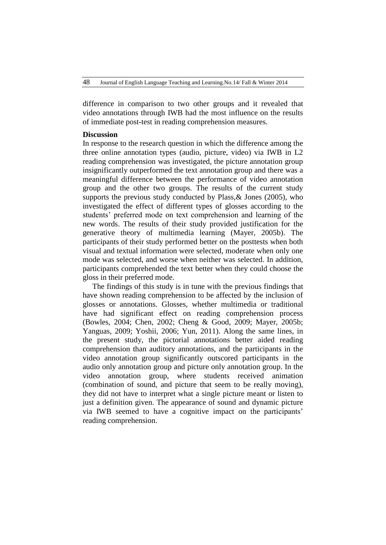difference in comparison to two other groups and it revealed that video annotations through IWB had the most influence on the results of immediate post-test in reading comprehension measures.

# **Discussion**

In response to the research question in which the difference among the three online annotation types (audio, picture, video) via IWB in L2 reading comprehension was investigated, the picture annotation group insignificantly outperformed the text annotation group and there was a meaningful difference between the performance of video annotation group and the other two groups. The results of the current study supports the previous study conducted by Plass,& Jones (2005), who investigated the effect of different types of glosses according to the students' preferred mode on text comprehension and learning of the new words. The results of their study provided justification for the generative theory of multimedia learning (Mayer, 2005b). The participants of their study performed better on the posttests when both visual and textual information were selected, moderate when only one mode was selected, and worse when neither was selected. In addition, participants comprehended the text better when they could choose the gloss in their preferred mode.

 The findings of this study is in tune with the previous findings that have shown reading comprehension to be affected by the inclusion of glosses or annotations. Glosses, whether multimedia or traditional have had significant effect on reading comprehension process (Bowles, 2004; Chen, 2002; Cheng & Good, 2009; Mayer, 2005b; Yanguas, 2009; Yoshii, 2006; Yun, 2011). Along the same lines, in the present study, the pictorial annotations better aided reading comprehension than auditory annotations, and the participants in the video annotation group significantly outscored participants in the audio only annotation group and picture only annotation group. In the video annotation group, where students received animation (combination of sound, and picture that seem to be really moving), they did not have to interpret what a single picture meant or listen to just a definition given. The appearance of sound and dynamic picture via IWB seemed to have a cognitive impact on the participants' reading comprehension.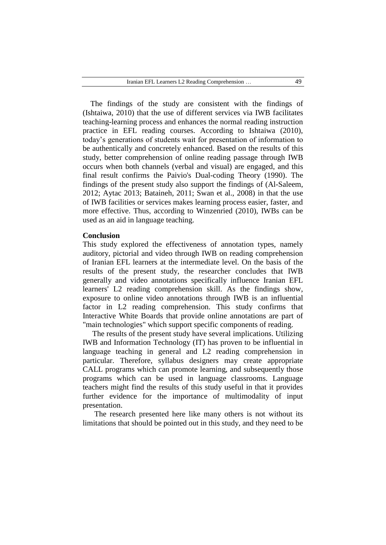The findings of the study are consistent with the findings of (Ishtaiwa, 2010) that the use of different services via IWB facilitates teaching-learning process and enhances the normal reading instruction practice in EFL reading courses. According to Ishtaiwa (2010), today's generations of students wait for presentation of information to be authentically and concretely enhanced. Based on the results of this study, better comprehension of online reading passage through IWB occurs when both channels (verbal and visual) are engaged, and this final result confirms the Paivio's Dual-coding Theory (1990). The findings of the present study also support the findings of (Al-Saleem, 2012; Aytac 2013; Bataineh, 2011; Swan et al., 2008) in that the use of IWB facilities or services makes learning process easier, faster, and more effective. Thus, according to Winzenried (2010), IWBs can be used as an aid in language teaching.

#### **Conclusion**

This study explored the effectiveness of annotation types, namely auditory, pictorial and video through IWB on reading comprehension of Iranian EFL learners at the intermediate level. On the basis of the results of the present study, the researcher concludes that IWB generally and video annotations specifically influence Iranian EFL learners' L2 reading comprehension skill. As the findings show, exposure to online video annotations through IWB is an influential factor in L2 reading comprehension. This study confirms that Interactive White Boards that provide online annotations are part of "main technologies" which support specific components of reading.

 The results of the present study have several implications. Utilizing IWB and Information Technology (IT) has proven to be influential in language teaching in general and L2 reading comprehension in particular. Therefore, syllabus designers may create appropriate CALL programs which can promote learning, and subsequently those programs which can be used in language classrooms. Language teachers might find the results of this study useful in that it provides further evidence for the importance of multimodality of input presentation.

 The research presented here like many others is not without its limitations that should be pointed out in this study, and they need to be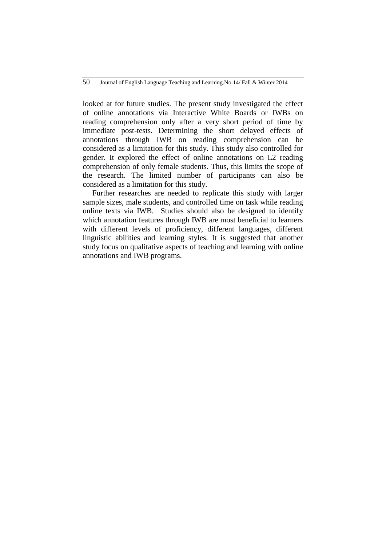looked at for future studies. The present study investigated the effect of online annotations via Interactive White Boards or IWBs on reading comprehension only after a very short period of time by immediate post-tests. Determining the short delayed effects of annotations through IWB on reading comprehension can be considered as a limitation for this study. This study also controlled for gender. It explored the effect of online annotations on L2 reading comprehension of only female students. Thus, this limits the scope of the research. The limited number of participants can also be considered as a limitation for this study.

 Further researches are needed to replicate this study with larger sample sizes, male students, and controlled time on task while reading online texts via IWB. Studies should also be designed to identify which annotation features through IWB are most beneficial to learners with different levels of proficiency, different languages, different linguistic abilities and learning styles. It is suggested that another study focus on qualitative aspects of teaching and learning with online annotations and IWB programs.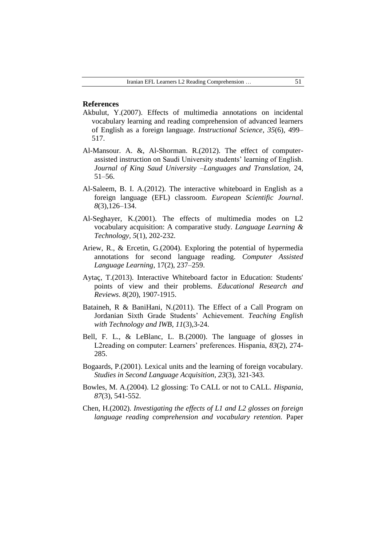#### **References**

- Akbulut, Y.(2007). Effects of multimedia annotations on incidental vocabulary learning and reading comprehension of advanced learners of English as a foreign language. *Instructional Science*, *35*(6), 499– 517.
- Al-Mansour. A. &, Al-Shorman. R.(2012). The effect of computerassisted instruction on Saudi University students' learning of English. *Journal of King Saud University –Languages and Translation,* 24, 51–56.
- Al-Saleem, B. I. A.(2012). The interactive whiteboard in English as a foreign language (EFL) classroom. *European Scientific Journal*. *8*(3),126–134.
- Al-Seghayer, K.(2001). The effects of multimedia modes on L2 vocabulary acquisition: A comparative study. *Language Learning & Technology, 5*(1), 202-232.
- Ariew, R., & Ercetin, G.(2004). Exploring the potential of hypermedia annotations for second language reading. *Computer Assisted Language Learning*, 17(2), 237–259.
- Aytaç, T.(2013). Interactive Whiteboard factor in Education: Students' points of view and their problems. *Educational Research and Reviews*. *8*(20), 1907-1915.
- Bataineh, R & BaniHani, N.(2011). The Effect of a Call Program on Jordanian Sixth Grade Students' Achievement. *Teaching English with Technology and IWB*, *11*(3),3-24.
- Bell, F. L., & LeBlanc, L. B.(2000). The language of glosses in L2reading on computer: Learners' preferences. Hispania, *83*(2), 274- 285.
- Bogaards, P.(2001). Lexical units and the learning of foreign vocabulary. *Studies in Second Language Acquisition*, *23*(3), 321-343.
- Bowles, M. A.(2004). L2 glossing: To CALL or not to CALL*. Hispania*, *87*(3), 541-552.
- Chen, H.(2002). *Investigating the effects of L1 and L2 glosses on foreign language reading comprehension and vocabulary retention.* Paper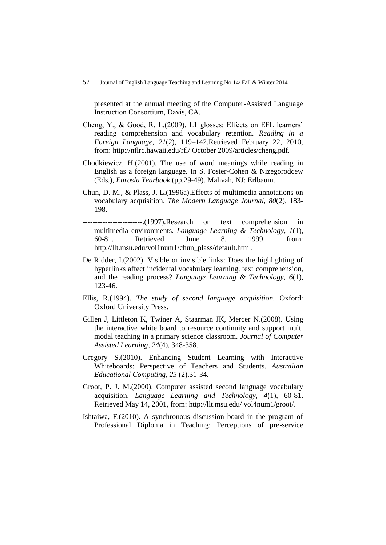presented at the annual meeting of the Computer-Assisted Language Instruction Consortium, Davis, CA.

- Cheng, Y., & Good, R. L.(2009). L1 glosses: Effects on EFL learners' reading comprehension and vocabulary retention. *Reading in a Foreign Language*, *21*(2), 119–142.Retrieved February 22, 2010, from: [http://nflrc.hawaii.](http://nflrc.hawaii/)edu/rfl/ October 2009/articles/cheng.pdf.
- Chodkiewicz, H.(2001). The use of word meanings while reading in English as a foreign language. In S. Foster-Cohen & Nizegorodcew (Eds.), *Eurosla Yearbook* (pp.29-49). Mahvah, NJ: Erlbaum.
- Chun, D. M., & Plass, J. L.(1996a).Effects of multimedia annotations on vocabulary acquisition. *The Modern Language Journal, 80*(2), 183- 198.
- ------------------------.(1997).Research on text comprehension in multimedia environments. *Language Learning & Technology, 1*(1), 60-81. Retrieved June 8, 1999, from: http://llt.msu.edu/vol1num1/chun\_plass/default.html.
- De Ridder, I.(2002). Visible or invisible links: Does the highlighting of hyperlinks affect incidental vocabulary learning, text comprehension, and the reading process? *Language Learning & Technology, 6*(1), 123-46.
- Ellis, R.(1994). *The study of second language acquisition.* Oxford: Oxford University Press.
- Gillen J, Littleton K, Twiner A, Staarman JK, Mercer N.(2008). Using the interactive white board to resource continuity and support multi modal teaching in a primary science classroom. *Journal of Computer Assisted Learning*, *24*(4), 348-358.
- Gregory S.(2010). Enhancing Student Learning with Interactive Whiteboards: Perspective of Teachers and Students. *Australian Educational Computing*, *25* (2).31-34.
- Groot, P. J. M.(2000). Computer assisted second language vocabulary acquisition. *Language Learning and Technology, 4*(1), 60-81. Retrieved May 14, 2001, from: [http://llt.msu.edu/ vol4num1/groot/.](http://llt.msu.edu/%20vol4num1/groot/)
- Ishtaiwa, F.(2010). A synchronous discussion board in the program of Professional Diploma in Teaching: Perceptions of pre-service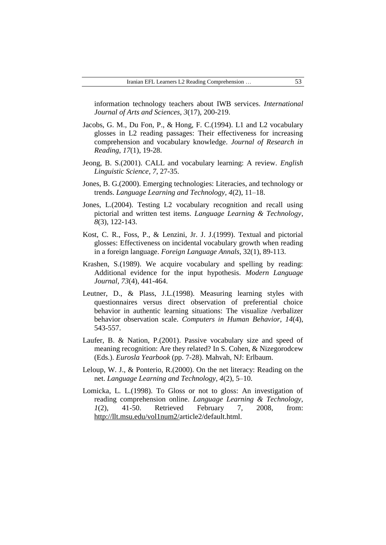information technology teachers about IWB services. *International Journal of Arts and Sciences*, *3*(17), 200-219.

- Jacobs, G. M., Du Fon, P., & Hong, F. C.(1994). L1 and L2 vocabulary glosses in L2 reading passages: Their effectiveness for increasing comprehension and vocabulary knowledge. *Journal of Research in Reading, 17*(1), 19-28.
- Jeong, B. S.(2001). CALL and vocabulary learning: A review. *English Linguistic Science, 7*, 27-35.
- Jones, B. G.(2000). Emerging technologies: Literacies, and technology or trends. *Language Learning and Technology, 4*(2), 11–18.
- Jones, L.(2004). Testing L2 vocabulary recognition and recall using pictorial and written test items. *Language Learning & Technology*, *8*(3), 122-143.
- Kost, C. R., Foss, P., & Lenzini, Jr. J. J.(1999). Textual and pictorial glosses: Effectiveness on incidental vocabulary growth when reading in a foreign language. *Foreign Language Annals*, 32(1), 89-113.
- Krashen, S.(1989). We acquire vocabulary and spelling by reading: Additional evidence for the input hypothesis. *Modern Language Journal, 73*(4), 441-464.
- Leutner, D., & Plass, J.L.(1998). Measuring learning styles with questionnaires versus direct observation of preferential choice behavior in authentic learning situations: The visualize /verbalizer behavior observation scale. *Computers in Human Behavior*, *14*(4), 543-557.
- Laufer, B. & Nation, P.(2001). Passive vocabulary size and speed of meaning recognition: Are they related? In S. Cohen, & Nizegorodcew (Eds.). *Eurosla Yearbook* (pp. 7-28). Mahvah, NJ: Erlbaum.
- Leloup, W. J., & Ponterio, R.(2000). On the net literacy: Reading on the net. *Language Learning and Technology, 4*(2), 5–10.
- Lomicka, L. L.(1998). To Gloss or not to gloss: An investigation of reading comprehension online. *Language Learning & Technology, 1*(2), 41-50. Retrieved February 7, 2008, from: [http://llt.msu.edu/vol1num2/a](http://llt.msu.edu/vol1num2/)rticle2/default.html.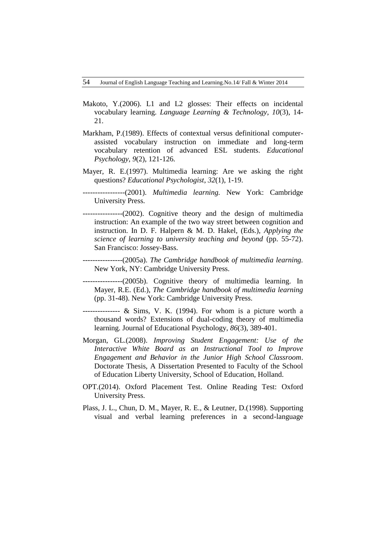- Makoto, Y.(2006). L1 and L2 glosses: Their effects on incidental vocabulary learning. *Language Learning & Technology, 10*(3), 14- 21.
- Markham, P.(1989). Effects of contextual versus definitional computerassisted vocabulary instruction on immediate and long-term vocabulary retention of advanced ESL students. *Educational Psychology, 9*(2), 121-126.
- Mayer, R. E.(1997). Multimedia learning: Are we asking the right questions? *Educational Psychologist*, *32*(1), 1-19.
- -----------------(2001). *Multimedia learning.* New York: Cambridge University Press.
- ----------------(2002). Cognitive theory and the design of multimedia instruction: An example of the two way street between cognition and instruction. In D. F. Halpern & M. D. Hakel, (Eds.), *Applying the science of learning to university teaching and beyond* (pp. 55-72). San Francisco: Jossey-Bass.
	- ----------------(2005a). *The Cambridge handbook of multimedia learning.* New York, NY: Cambridge University Press.
- ----------------(2005b). Cognitive theory of multimedia learning. In Mayer, R.E. (Ed.), *The Cambridge handbook of multimedia learning*  (pp. 31-48). New York: Cambridge University Press.
- $-$ -------------- & Sims, V. K. (1994). For whom is a picture worth a thousand words? Extensions of dual-coding theory of multimedia learning. Journal of Educational Psychology, *86*(3), 389-401.
- Morgan, GL.(2008). *Improving Student Engagement: Use of the Interactive White Board as an Instructional Tool to Improve Engagement and Behavior in the Junior High School Classroom*. Doctorate Thesis, A Dissertation Presented to Faculty of the School of Education Liberty University, School of Education, Holland.
- OPT.(2014). Oxford Placement Test. Online Reading Test: Oxford University Press.
- Plass, J. L., Chun, D. M., Mayer, R. E., & Leutner, D.(1998). Supporting visual and verbal learning preferences in a second-language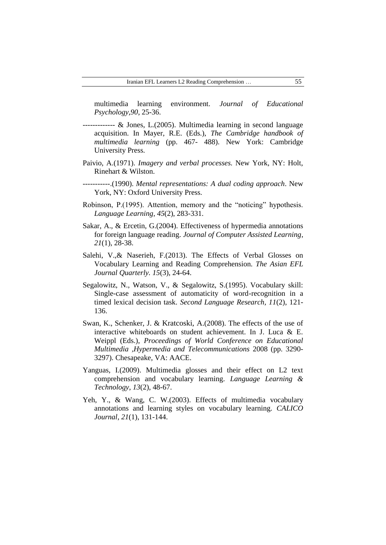multimedia learning environment. *Journal of Educational Psychology,90*, 25-36.

- ------------- & Jones, L.(2005). Multimedia learning in second language acquisition. In Mayer, R.E. (Eds.), *The Cambridge handbook of multimedia learning* (pp. 467- 488). New York: Cambridge University Press.
- Paivio, A.(1971). *Imagery and verbal processes.* New York, NY: Holt, Rinehart & Wilston.
- -----------.(1990). *Mental representations: A dual coding approach*. New York, NY: Oxford University Press.
- Robinson, P.(1995). Attention, memory and the "noticing" hypothesis. *Language Learning, 45*(2), 283-331.
- Sakar, A., & Ercetin, G.(2004). Effectiveness of hypermedia annotations for foreign language reading. *Journal of Computer Assisted Learning*, *21*(1), 28-38.
- Salehi, V.,& Naserieh, F.(2013). The Effects of Verbal Glosses on Vocabulary Learning and Reading Comprehension. *The Asian EFL Journal Quarterly. 15*(3), 24-64.
- Segalowitz, N., Watson, V., & Segalowitz, S.(1995). Vocabulary skill: Single-case assessment of automaticity of word-recognition in a timed lexical decision task. *Second Language Research, 11*(2), 121- 136.
- Swan, K., Schenker, J. & Kratcoski, A.(2008). The effects of the use of interactive whiteboards on student achievement. In J. Luca & E. Weippl (Eds.), *Proceedings of World Conference on Educational Multimedia* ,*Hypermedia and Telecommunications* 2008 (pp. 3290- 3297). Chesapeake, VA: AACE.
- Yanguas, I.(2009). Multimedia glosses and their effect on L2 text comprehension and vocabulary learning. *Language Learning & Technology*, *13*(2), 48-67.
- Yeh, Y., & Wang, C. W.(2003). Effects of multimedia vocabulary annotations and learning styles on vocabulary learning. *CALICO Journal*, *21*(1), 131-144.